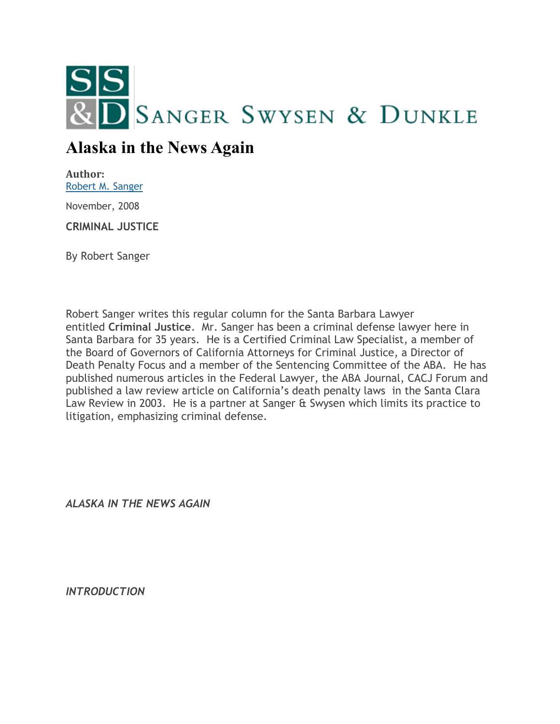

## **Alaska in the News Again**

**Author:** [Robert M. Sanger](http://sangerswysen.com/robert-m-sanger)

November, 2008

**CRIMINAL JUSTICE**

By Robert Sanger

Robert Sanger writes this regular column for the Santa Barbara Lawyer entitled **Criminal Justice**. Mr. Sanger has been a criminal defense lawyer here in Santa Barbara for 35 years. He is a Certified Criminal Law Specialist, a member of the Board of Governors of California Attorneys for Criminal Justice, a Director of Death Penalty Focus and a member of the Sentencing Committee of the ABA. He has published numerous articles in the Federal Lawyer, the ABA Journal, CACJ Forum and published a law review article on California's death penalty laws in the Santa Clara Law Review in 2003. He is a partner at Sanger & Swysen which limits its practice to litigation, emphasizing criminal defense.

*ALASKA IN THE NEWS AGAIN*

*INTRODUCTION*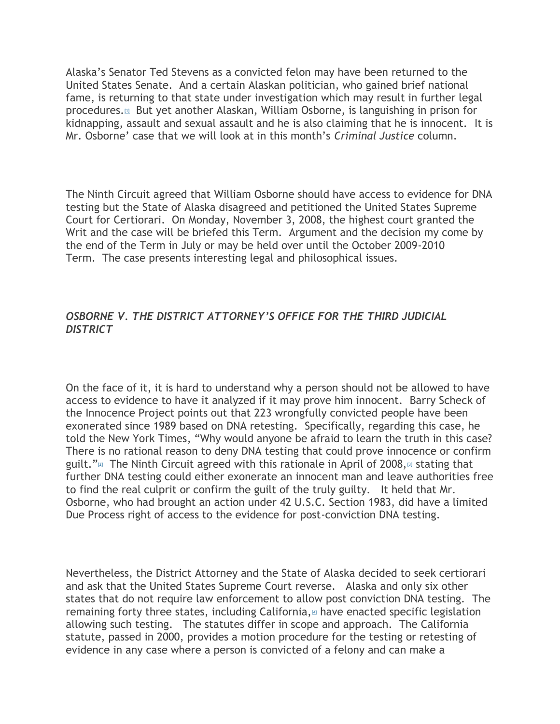Alaska's Senator Ted Stevens as a convicted felon may have been returned to the United States Senate. And a certain Alaskan politician, who gained brief national fame, is returning to that state under investigation which may result in further legal procedures.[\[1\]](#page-5-0) But yet another Alaskan, William Osborne, is languishing in prison for kidnapping, assault and sexual assault and he is also claiming that he is innocent. It is Mr. Osborne' case that we will look at in this month's *Criminal Justice* column.

The Ninth Circuit agreed that William Osborne should have access to evidence for DNA testing but the State of Alaska disagreed and petitioned the United States Supreme Court for Certiorari. On Monday, November 3, 2008, the highest court granted the Writ and the case will be briefed this Term. Argument and the decision my come by the end of the Term in July or may be held over until the October 2009-2010 Term. The case presents interesting legal and philosophical issues.

## *OSBORNE V. THE DISTRICT ATTORNEY'S OFFICE FOR THE THIRD JUDICIAL DISTRICT*

On the face of it, it is hard to understand why a person should not be allowed to have access to evidence to have it analyzed if it may prove him innocent. Barry Scheck of the Innocence Project points out that 223 wrongfully convicted people have been exonerated since 1989 based on DNA retesting. Specifically, regarding this case, he told the New York Times, "Why would anyone be afraid to learn the truth in this case? There is no rational reason to deny DNA testing that could prove innocence or confirm guilt." $\mathbb{Z}$  The Ninth Circuit agreed with this rationale in April of 2008, $\mathbb{Z}$  stating that further DNA testing could either exonerate an innocent man and leave authorities free to find the real culprit or confirm the guilt of the truly guilty. It held that Mr. Osborne, who had brought an action under 42 U.S.C. Section 1983, did have a limited Due Process right of access to the evidence for post-conviction DNA testing.

Nevertheless, the District Attorney and the State of Alaska decided to seek certiorari and ask that the United States Supreme Court reverse. Alaska and only six other states that do not require law enforcement to allow post conviction DNA testing. The remaining forty three states[,](#page-5-3) including California,  $\mu$  have enacted specific legislation allowing such testing. The statutes differ in scope and approach. The California statute, passed in 2000, provides a motion procedure for the testing or retesting of evidence in any case where a person is convicted of a felony and can make a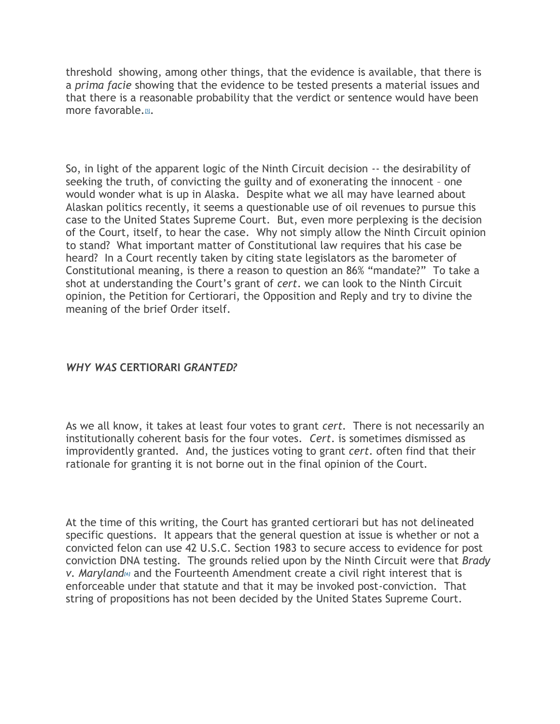threshold showing, among other things, that the evidence is available, that there is a *prima facie* showing that the evidence to be tested presents a material issues and that there is a reasonable probability that the verdict or sentence would have been more favorable[.](#page-5-4)<sup>51</sup>.

So, in light of the apparent logic of the Ninth Circuit decision -- the desirability of seeking the truth, of convicting the guilty and of exonerating the innocent – one would wonder what is up in Alaska. Despite what we all may have learned about Alaskan politics recently, it seems a questionable use of oil revenues to pursue this case to the United States Supreme Court. But, even more perplexing is the decision of the Court, itself, to hear the case. Why not simply allow the Ninth Circuit opinion to stand? What important matter of Constitutional law requires that his case be heard? In a Court recently taken by citing state legislators as the barometer of Constitutional meaning, is there a reason to question an 86% "mandate?" To take a shot at understanding the Court's grant of *cert*. we can look to the Ninth Circuit opinion, the Petition for Certiorari, the Opposition and Reply and try to divine the meaning of the brief Order itself.

## *WHY WAS* **CERTIORARI** *GRANTED?*

As we all know, it takes at least four votes to grant *cert.* There is not necessarily an institutionally coherent basis for the four votes. *Cert*. is sometimes dismissed as improvidently granted. And, the justices voting to grant *cert*. often find that their rationale for granting it is not borne out in the final opinion of the Court.

At the time of this writing, the Court has granted certiorari but has not delineated specific questions. It appears that the general question at issue is whether or not a convicted felon can use 42 U.S.C. Section 1983 to secure access to evidence for post conviction DNA testing. The grounds relied upon by the Ninth Circuit were that *Brady v. Marylan[d](#page-5-5)[6]* and the Fourteenth Amendment create a civil right interest that is enforceable under that statute and that it may be invoked post-conviction. That string of propositions has not been decided by the United States Supreme Court.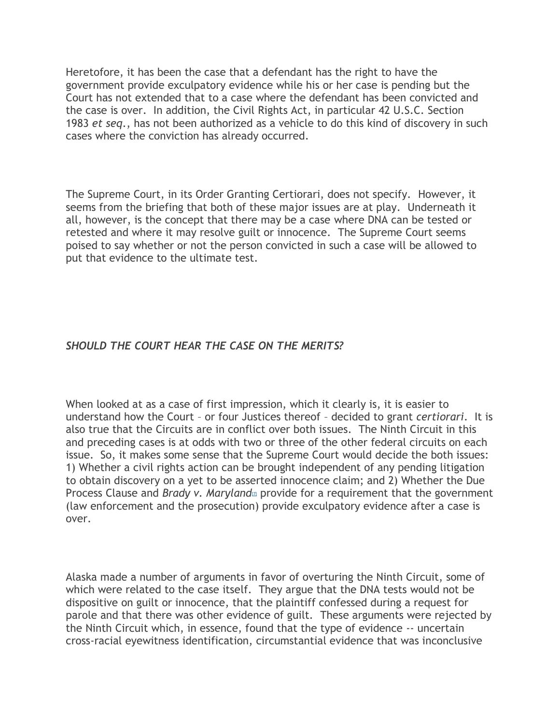Heretofore, it has been the case that a defendant has the right to have the government provide exculpatory evidence while his or her case is pending but the Court has not extended that to a case where the defendant has been convicted and the case is over. In addition, the Civil Rights Act, in particular 42 U.S.C. Section 1983 *et seq*., has not been authorized as a vehicle to do this kind of discovery in such cases where the conviction has already occurred.

The Supreme Court, in its Order Granting Certiorari, does not specify. However, it seems from the briefing that both of these major issues are at play. Underneath it all, however, is the concept that there may be a case where DNA can be tested or retested and where it may resolve guilt or innocence. The Supreme Court seems poised to say whether or not the person convicted in such a case will be allowed to put that evidence to the ultimate test.

## *SHOULD THE COURT HEAR THE CASE ON THE MERITS?*

When looked at as a case of first impression, which it clearly is, it is easier to understand how the Court – or four Justices thereof – decided to grant *certiorari*. It is also true that the Circuits are in conflict over both issues. The Ninth Circuit in this and preceding cases is at odds with two or three of the other federal circuits on each issue. So, it makes some sense that the Supreme Court would decide the both issues: 1) Whether a civil rights action can be brought independent of any pending litigation to obtain discovery on a yet to be asserted innocence claim; and 2) Whether the Due Process Clause an[d](http://sangerswysen.com/articles/alaska-news-again#_ftn7) *Brady v. Maryland*<sub>*n*</sub> provide for a requirement that the government (law enforcement and the prosecution) provide exculpatory evidence after a case is over.

Alaska made a number of arguments in favor of overturing the Ninth Circuit, some of which were related to the case itself. They argue that the DNA tests would not be dispositive on guilt or innocence, that the plaintiff confessed during a request for parole and that there was other evidence of guilt. These arguments were rejected by the Ninth Circuit which, in essence, found that the type of evidence -- uncertain cross-racial eyewitness identification, circumstantial evidence that was inconclusive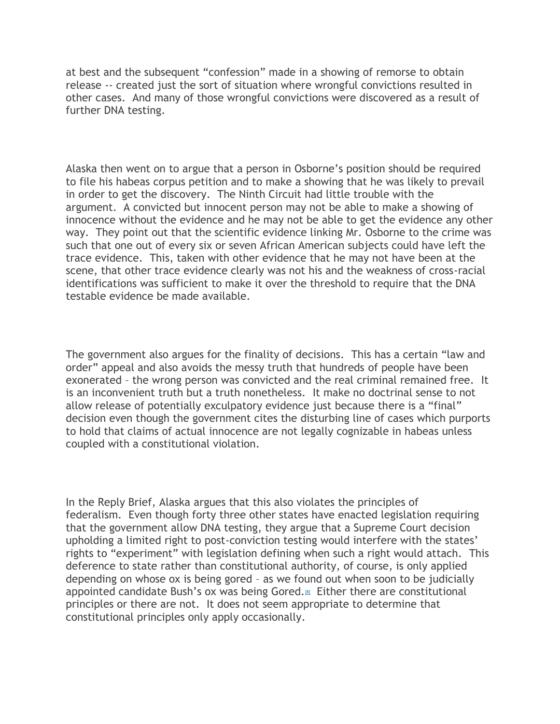at best and the subsequent "confession" made in a showing of remorse to obtain release -- created just the sort of situation where wrongful convictions resulted in other cases. And many of those wrongful convictions were discovered as a result of further DNA testing.

Alaska then went on to argue that a person in Osborne's position should be required to file his habeas corpus petition and to make a showing that he was likely to prevail in order to get the discovery. The Ninth Circuit had little trouble with the argument. A convicted but innocent person may not be able to make a showing of innocence without the evidence and he may not be able to get the evidence any other way. They point out that the scientific evidence linking Mr. Osborne to the crime was such that one out of every six or seven African American subjects could have left the trace evidence. This, taken with other evidence that he may not have been at the scene, that other trace evidence clearly was not his and the weakness of cross-racial identifications was sufficient to make it over the threshold to require that the DNA testable evidence be made available.

The government also argues for the finality of decisions. This has a certain "law and order" appeal and also avoids the messy truth that hundreds of people have been exonerated – the wrong person was convicted and the real criminal remained free. It is an inconvenient truth but a truth nonetheless. It make no doctrinal sense to not allow release of potentially exculpatory evidence just because there is a "final" decision even though the government cites the disturbing line of cases which purports to hold that claims of actual innocence are not legally cognizable in habeas unless coupled with a constitutional violation.

In the Reply Brief, Alaska argues that this also violates the principles of federalism. Even though forty three other states have enacted legislation requiring that the government allow DNA testing, they argue that a Supreme Court decision upholding a limited right to post-conviction testing would interfere with the states' rights to "experiment" with legislation defining when such a right would attach. This deference to state rather than constitutional authority, of course, is only applied depending on whose ox is being gored – as we found out when soon to be judicially appointed candidate Bush's ox was being Gored[.](#page-5-6)<sup>[8]</sup> Either there are constitutional principles or there are not. It does not seem appropriate to determine that constitutional principles only apply occasionally.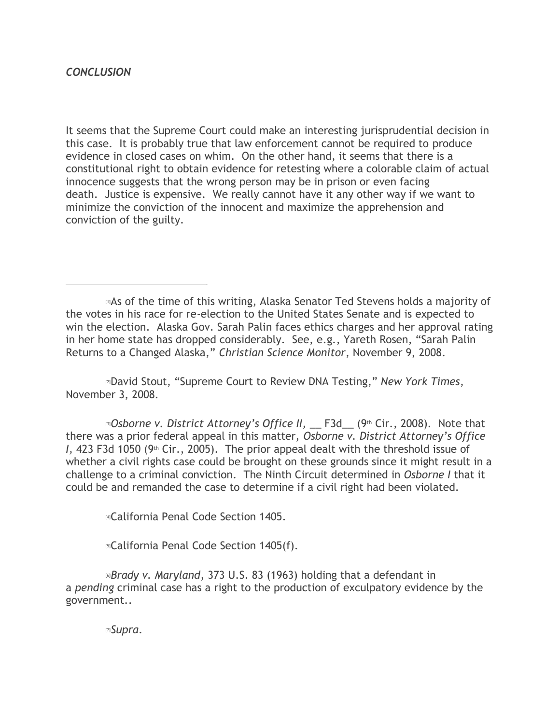It seems that the Supreme Court could make an interesting jurisprudential decision in this case. It is probably true that law enforcement cannot be required to produce evidence in closed cases on whim. On the other hand, it seems that there is a constitutional right to obtain evidence for retesting where a colorable claim of actual innocence suggests that the wrong person may be in prison or even facing death. Justice is expensive. We really cannot have it any other way if we want to minimize the conviction of the innocent and maximize the apprehension and conviction of the guilty.

<span id="page-5-0"></span>[1]As of the time of this writing, Alaska Senator Ted Stevens holds a majority of the votes in his race for re-election to the United States Senate and is expected to win the election. Alaska Gov. Sarah Palin faces ethics charges and her approval rating in her home state has dropped considerably. See, e.g., Yareth Rosen, "Sarah Palin Returns to a Changed Alaska," *Christian Science Monitor*, November 9, 2008.

<span id="page-5-1"></span>[2]David Stout, "Supreme Court to Review DNA Testing," *New York Times*, November 3, 2008.

<span id="page-5-2"></span>**[3]** Dsborne v. District Attorney's Office II, \_\_ F3d\_ (9th Cir., 2008). Note that there was a prior federal appeal in this matter, *Osborne v. District Attorney's Office I*, 423 F3d 1050 (9<sup>th</sup> Cir., 2005). The prior appeal dealt with the threshold issue of whether a civil rights case could be brought on these grounds since it might result in a challenge to a criminal conviction. The Ninth Circuit determined in *Osborne I* that it could be and remanded the case to determine if a civil right had been violated.

<span id="page-5-3"></span>[4]California Penal Code Section 1405.

<span id="page-5-5"></span><span id="page-5-4"></span>[5]California Penal Code Section 1405(f).

[6]*Brady v. Maryland*, 373 U.S. 83 (1963) holding that a defendant in a *pending* criminal case has a right to the production of exculpatory evidence by the government..

<span id="page-5-6"></span>[7]*Supra*.